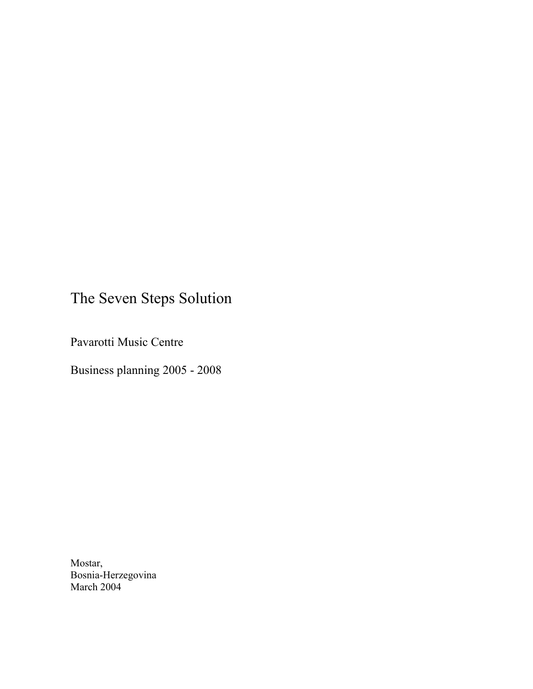# The Seven Steps Solution

Pavarotti Music Centre

Business planning 2005 - 2008

Mostar, Bosnia-Herzegovina March 2004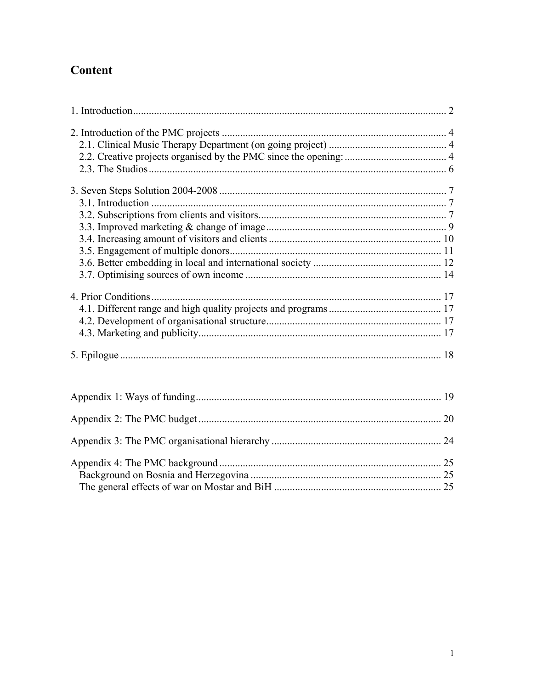## Content

| 4. Prior Conditions |  |
|---------------------|--|
|                     |  |
|                     |  |
|                     |  |
|                     |  |
|                     |  |
|                     |  |
|                     |  |
|                     |  |
|                     |  |
|                     |  |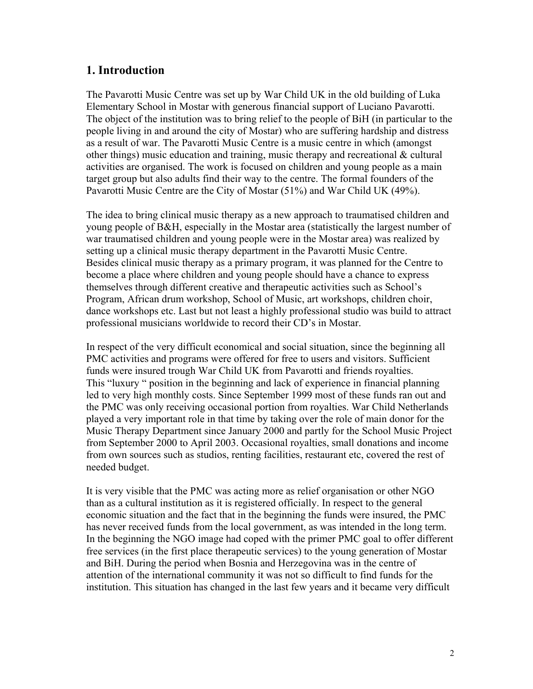## <span id="page-2-0"></span>**1. Introduction**

The Pavarotti Music Centre was set up by War Child UK in the old building of Luka Elementary School in Mostar with generous financial support of Luciano Pavarotti. The object of the institution was to bring relief to the people of BiH (in particular to the people living in and around the city of Mostar) who are suffering hardship and distress as a result of war. The Pavarotti Music Centre is a music centre in which (amongst other things) music education and training, music therapy and recreational & cultural activities are organised. The work is focused on children and young people as a main target group but also adults find their way to the centre. The formal founders of the Pavarotti Music Centre are the City of Mostar (51%) and War Child UK (49%).

The idea to bring clinical music therapy as a new approach to traumatised children and young people of B&H, especially in the Mostar area (statistically the largest number of war traumatised children and young people were in the Mostar area) was realized by setting up a clinical music therapy department in the Pavarotti Music Centre. Besides clinical music therapy as a primary program, it was planned for the Centre to become a place where children and young people should have a chance to express themselves through different creative and therapeutic activities such as School's Program, African drum workshop, School of Music, art workshops, children choir, dance workshops etc. Last but not least a highly professional studio was build to attract professional musicians worldwide to record their CD's in Mostar.

In respect of the very difficult economical and social situation, since the beginning all PMC activities and programs were offered for free to users and visitors. Sufficient funds were insured trough War Child UK from Pavarotti and friends royalties. This "luxury " position in the beginning and lack of experience in financial planning led to very high monthly costs. Since September 1999 most of these funds ran out and the PMC was only receiving occasional portion from royalties. War Child Netherlands played a very important role in that time by taking over the role of main donor for the Music Therapy Department since January 2000 and partly for the School Music Project from September 2000 to April 2003. Occasional royalties, small donations and income from own sources such as studios, renting facilities, restaurant etc, covered the rest of needed budget.

It is very visible that the PMC was acting more as relief organisation or other NGO than as a cultural institution as it is registered officially. In respect to the general economic situation and the fact that in the beginning the funds were insured, the PMC has never received funds from the local government, as was intended in the long term. In the beginning the NGO image had coped with the primer PMC goal to offer different free services (in the first place therapeutic services) to the young generation of Mostar and BiH. During the period when Bosnia and Herzegovina was in the centre of attention of the international community it was not so difficult to find funds for the institution. This situation has changed in the last few years and it became very difficult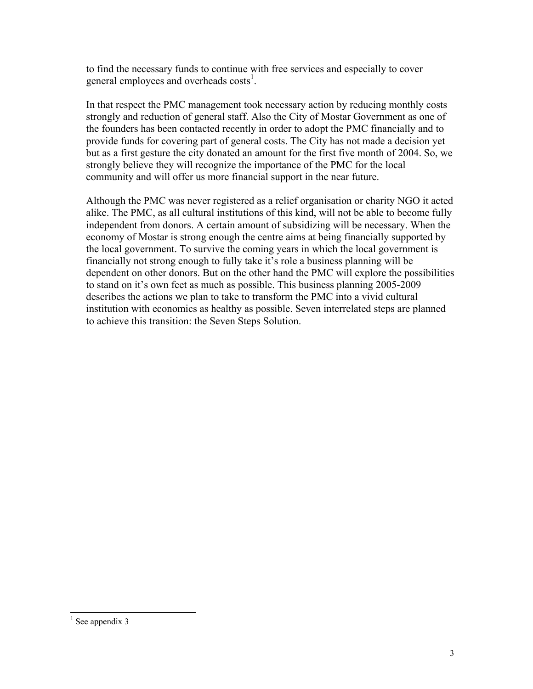to find the necessary funds to continue with free services and especially to cover general employees and overheads costs<sup>1</sup>.

In that respect the PMC management took necessary action by reducing monthly costs strongly and reduction of general staff. Also the City of Mostar Government as one of the founders has been contacted recently in order to adopt the PMC financially and to provide funds for covering part of general costs. The City has not made a decision yet but as a first gesture the city donated an amount for the first five month of 2004. So, we strongly believe they will recognize the importance of the PMC for the local community and will offer us more financial support in the near future.

Although the PMC was never registered as a relief organisation or charity NGO it acted alike. The PMC, as all cultural institutions of this kind, will not be able to become fully independent from donors. A certain amount of subsidizing will be necessary. When the economy of Mostar is strong enough the centre aims at being financially supported by the local government. To survive the coming years in which the local government is financially not strong enough to fully take it's role a business planning will be dependent on other donors. But on the other hand the PMC will explore the possibilities to stand on it's own feet as much as possible. This business planning 2005-2009 describes the actions we plan to take to transform the PMC into a vivid cultural institution with economics as healthy as possible. Seven interrelated steps are planned to achieve this transition: the Seven Steps Solution.

<span id="page-3-0"></span> $\frac{1}{1}$  $<sup>1</sup>$  See appendix 3</sup>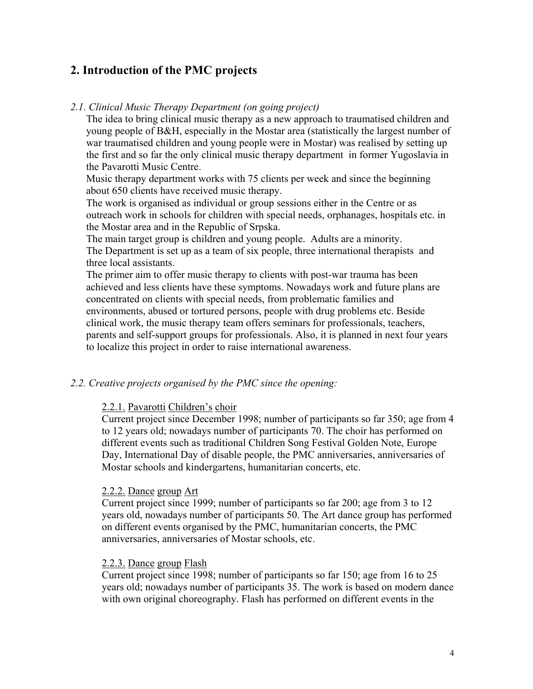## <span id="page-4-0"></span>**2. Introduction of the PMC projects**

#### *2.1. Clinical Music Therapy Department (on going project)*

The idea to bring clinical music therapy as a new approach to traumatised children and young people of B&H, especially in the Mostar area (statistically the largest number of war traumatised children and young people were in Mostar) was realised by setting up the first and so far the only clinical music therapy department in former Yugoslavia in the Pavarotti Music Centre.

Music therapy department works with 75 clients per week and since the beginning about 650 clients have received music therapy.

The work is organised as individual or group sessions either in the Centre or as outreach work in schools for children with special needs, orphanages, hospitals etc. in the Mostar area and in the Republic of Srpska.

The main target group is children and young people. Adults are a minority. The Department is set up as a team of six people, three international therapists and three local assistants.

The primer aim to offer music therapy to clients with post-war trauma has been achieved and less clients have these symptoms. Nowadays work and future plans are concentrated on clients with special needs, from problematic families and environments, abused or tortured persons, people with drug problems etc. Beside clinical work, the music therapy team offers seminars for professionals, teachers, parents and self-support groups for professionals. Also, it is planned in next four years to localize this project in order to raise international awareness.

#### *2.2. Creative projects organised by the PMC since the opening:*

#### 2.2.1. Pavarotti Children's choir

Current project since December 1998; number of participants so far 350; age from 4 to 12 years old; nowadays number of participants 70. The choir has performed on different events such as traditional Children Song Festival Golden Note, Europe Day, International Day of disable people, the PMC anniversaries, anniversaries of Mostar schools and kindergartens, humanitarian concerts, etc.

#### 2.2.2. Dance group Art

Current project since 1999; number of participants so far 200; age from 3 to 12 years old, nowadays number of participants 50. The Art dance group has performed on different events organised by the PMC, humanitarian concerts, the PMC anniversaries, anniversaries of Mostar schools, etc.

#### 2.2.3. Dance group Flash

Current project since 1998; number of participants so far 150; age from 16 to 25 years old; nowadays number of participants 35. The work is based on modern dance with own original choreography. Flash has performed on different events in the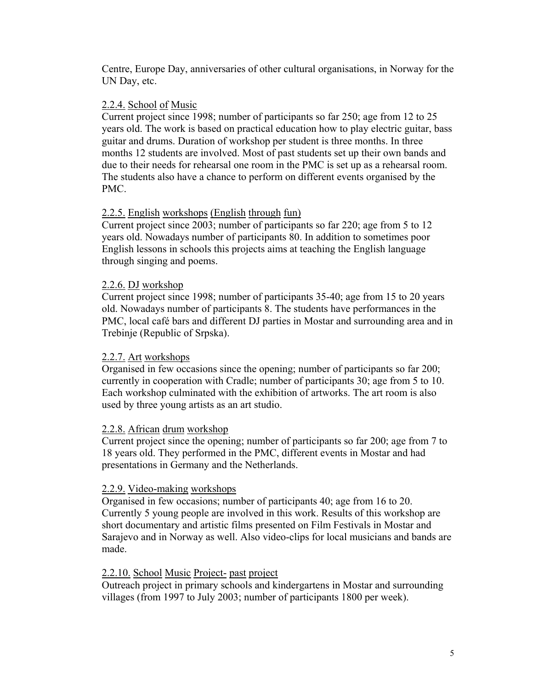Centre, Europe Day, anniversaries of other cultural organisations, in Norway for the UN Day, etc.

## 2.2.4. School of Music

Current project since 1998; number of participants so far 250; age from 12 to 25 years old. The work is based on practical education how to play electric guitar, bass guitar and drums. Duration of workshop per student is three months. In three months 12 students are involved. Most of past students set up their own bands and due to their needs for rehearsal one room in the PMC is set up as a rehearsal room. The students also have a chance to perform on different events organised by the PMC.

## 2.2.5. English workshops (English through fun)

Current project since 2003; number of participants so far 220; age from 5 to 12 years old. Nowadays number of participants 80. In addition to sometimes poor English lessons in schools this projects aims at teaching the English language through singing and poems.

## 2.2.6. DJ workshop

Current project since 1998; number of participants 35-40; age from 15 to 20 years old. Nowadays number of participants 8. The students have performances in the PMC, local café bars and different DJ parties in Mostar and surrounding area and in Trebinje (Republic of Srpska).

## 2.2.7. Art workshops

Organised in few occasions since the opening; number of participants so far 200; currently in cooperation with Cradle; number of participants 30; age from 5 to 10. Each workshop culminated with the exhibition of artworks. The art room is also used by three young artists as an art studio.

## 2.2.8. African drum workshop

Current project since the opening; number of participants so far 200; age from 7 to 18 years old. They performed in the PMC, different events in Mostar and had presentations in Germany and the Netherlands.

## 2.2.9. Video-making workshops

Organised in few occasions; number of participants 40; age from 16 to 20. Currently 5 young people are involved in this work. Results of this workshop are short documentary and artistic films presented on Film Festivals in Mostar and Sarajevo and in Norway as well. Also video-clips for local musicians and bands are made.

## 2.2.10. School Music Project- past project

Outreach project in primary schools and kindergartens in Mostar and surrounding villages (from 1997 to July 2003; number of participants 1800 per week).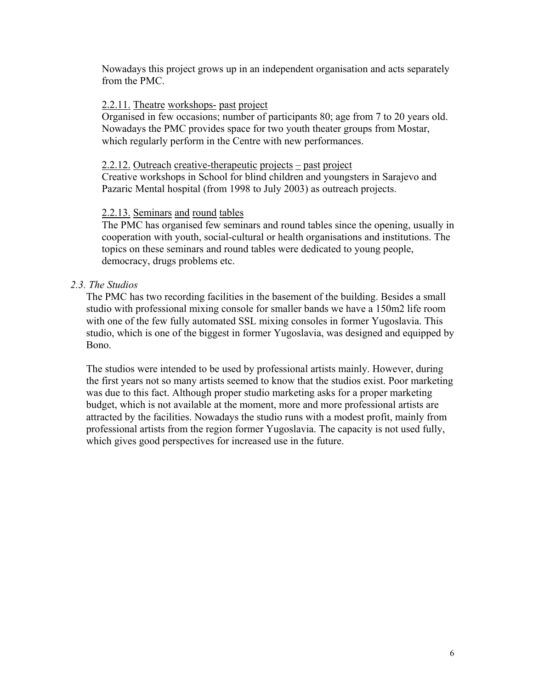<span id="page-6-0"></span>Nowadays this project grows up in an independent organisation and acts separately from the PMC.

#### 2.2.11. Theatre workshops- past project

Organised in few occasions; number of participants 80; age from 7 to 20 years old. Nowadays the PMC provides space for two youth theater groups from Mostar, which regularly perform in the Centre with new performances.

#### 2.2.12. Outreach creative-therapeutic projects – past project

Creative workshops in School for blind children and youngsters in Sarajevo and Pazaric Mental hospital (from 1998 to July 2003) as outreach projects.

#### 2.2.13. Seminars and round tables

The PMC has organised few seminars and round tables since the opening, usually in cooperation with youth, social-cultural or health organisations and institutions. The topics on these seminars and round tables were dedicated to young people, democracy, drugs problems etc.

#### *2.3. The Studios*

The PMC has two recording facilities in the basement of the building. Besides a small studio with professional mixing console for smaller bands we have a 150m2 life room with one of the few fully automated SSL mixing consoles in former Yugoslavia. This studio, which is one of the biggest in former Yugoslavia, was designed and equipped by Bono.

The studios were intended to be used by professional artists mainly. However, during the first years not so many artists seemed to know that the studios exist. Poor marketing was due to this fact. Although proper studio marketing asks for a proper marketing budget, which is not available at the moment, more and more professional artists are attracted by the facilities. Nowadays the studio runs with a modest profit, mainly from professional artists from the region former Yugoslavia. The capacity is not used fully, which gives good perspectives for increased use in the future.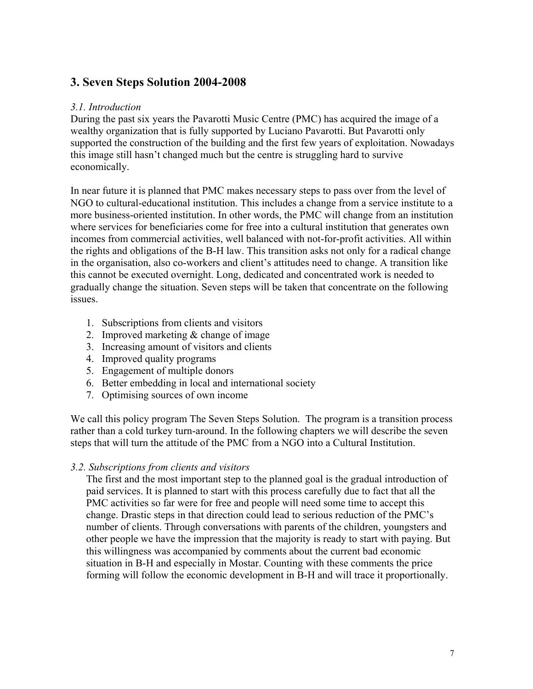## <span id="page-7-0"></span>**3. Seven Steps Solution 2004-2008**

#### *3.1. Introduction*

During the past six years the Pavarotti Music Centre (PMC) has acquired the image of a wealthy organization that is fully supported by Luciano Pavarotti. But Pavarotti only supported the construction of the building and the first few years of exploitation. Nowadays this image still hasn't changed much but the centre is struggling hard to survive economically.

In near future it is planned that PMC makes necessary steps to pass over from the level of NGO to cultural-educational institution. This includes a change from a service institute to a more business-oriented institution. In other words, the PMC will change from an institution where services for beneficiaries come for free into a cultural institution that generates own incomes from commercial activities, well balanced with not-for-profit activities. All within the rights and obligations of the B-H law. This transition asks not only for a radical change in the organisation, also co-workers and client's attitudes need to change. A transition like this cannot be executed overnight. Long, dedicated and concentrated work is needed to gradually change the situation. Seven steps will be taken that concentrate on the following issues.

- 1. Subscriptions from clients and visitors
- 2. Improved marketing & change of image
- 3. Increasing amount of visitors and clients
- 4. Improved quality programs
- 5. Engagement of multiple donors
- 6. Better embedding in local and international society
- 7. Optimising sources of own income

We call this policy program The Seven Steps Solution. The program is a transition process rather than a cold turkey turn-around. In the following chapters we will describe the seven steps that will turn the attitude of the PMC from a NGO into a Cultural Institution.

#### *3.2. Subscriptions from clients and visitors*

The first and the most important step to the planned goal is the gradual introduction of paid services. It is planned to start with this process carefully due to fact that all the PMC activities so far were for free and people will need some time to accept this change. Drastic steps in that direction could lead to serious reduction of the PMC's number of clients. Through conversations with parents of the children, youngsters and other people we have the impression that the majority is ready to start with paying. But this willingness was accompanied by comments about the current bad economic situation in B-H and especially in Mostar. Counting with these comments the price forming will follow the economic development in B-H and will trace it proportionally.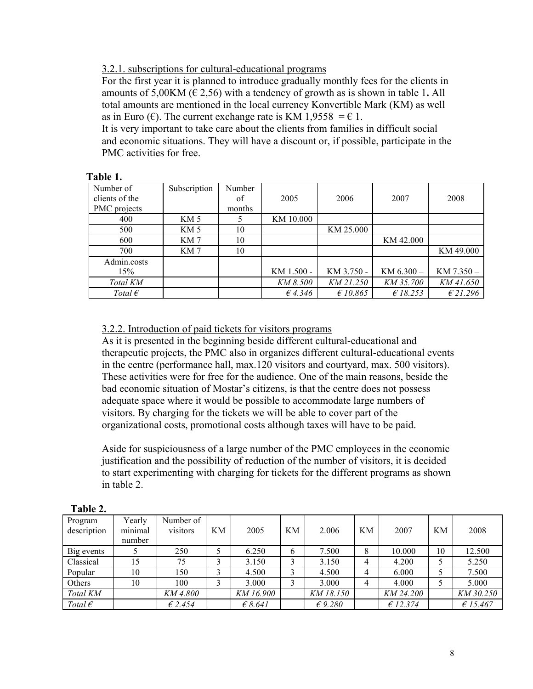#### 3.2.1. subscriptions for cultural-educational programs

For the first year it is planned to introduce gradually monthly fees for the clients in amounts of 5,00KM ( $\in$  2,56) with a tendency of growth as is shown in table 1. All total amounts are mentioned in the local currency Konvertible Mark (KM) as well as in Euro ( $\epsilon$ ). The current exchange rate is KM 1,9558 =  $\epsilon$  1.

It is very important to take care about the clients from families in difficult social and economic situations. They will have a discount or, if possible, participate in the PMC activities for free.

| Number of<br>clients of the | Subscription    | Number<br>of | 2005       | 2006       | 2007           | 2008       |
|-----------------------------|-----------------|--------------|------------|------------|----------------|------------|
| PMC projects                |                 | months       |            |            |                |            |
| 400                         | KM 5            |              | KM 10.000  |            |                |            |
| 500                         | KM <sub>5</sub> | 10           |            | KM 25.000  |                |            |
| 600                         | KM 7            | 10           |            |            | KM 42.000      |            |
| 700                         | KM 7            | 10           |            |            |                | KM 49.000  |
| Admin.costs                 |                 |              |            |            |                |            |
| 15%                         |                 |              | KM 1.500 - | KM 3.750 - | $KM$ 6.300 $-$ | KM 7.350-  |
| Total KM                    |                 |              | KM 8.500   | KM 21.250  | KM 35.700      | KM 41.650  |
| Total $\epsilon$            |                 |              | 64.346     | £10.865    | E18.253        | $E$ 21.296 |

| l`able - |  |
|----------|--|
|----------|--|

#### 3.2.2. Introduction of paid tickets for visitors programs

As it is presented in the beginning beside different cultural-educational and therapeutic projects, the PMC also in organizes different cultural-educational events in the centre (performance hall, max.120 visitors and courtyard, max. 500 visitors). These activities were for free for the audience. One of the main reasons, beside the bad economic situation of Mostar's citizens, is that the centre does not possess adequate space where it would be possible to accommodate large numbers of visitors. By charging for the tickets we will be able to cover part of the organizational costs, promotional costs although taxes will have to be paid.

Aside for suspiciousness of a large number of the PMC employees in the economic justification and the possibility of reduction of the number of visitors, it is decided to start experimenting with charging for tickets for the different programs as shown in table 2.

| 1 апп 4.               |                             |                       |    |                  |             |                  |    |           |    |           |
|------------------------|-----------------------------|-----------------------|----|------------------|-------------|------------------|----|-----------|----|-----------|
| Program<br>description | Yearly<br>minimal<br>number | Number of<br>visitors | KM | 2005             | KМ          | 2.006            | KМ | 2007      | KM | 2008      |
| Big events             |                             | 250                   |    | 6.250            | 6           | 7.500            | 8  | 10.000    | 10 | 12.500    |
| Classical              | 15                          | 75                    | 3  | 3.150            | ζ           | 3.150            | 4  | 4.200     |    | 5.250     |
| Popular                | 10                          | 150                   | 3  | 4.500            | $\mathbf 3$ | 4.500            | 4  | 6.000     |    | 7.500     |
| Others                 | 10                          | 100                   | 3  | 3.000            | ↑           | 3.000            | 4  | 4.000     |    | 5.000     |
| Total KM               |                             | KM 4.800              |    | KM 16.900        |             | KM 18.150        |    | KM 24.200 |    | KM 30.250 |
| Total $\epsilon$       |                             | £2.454                |    | $\epsilon$ 8.641 |             | $\epsilon$ 9.280 |    | E12.374   |    | £15.467   |

| l`able |  |
|--------|--|
|--------|--|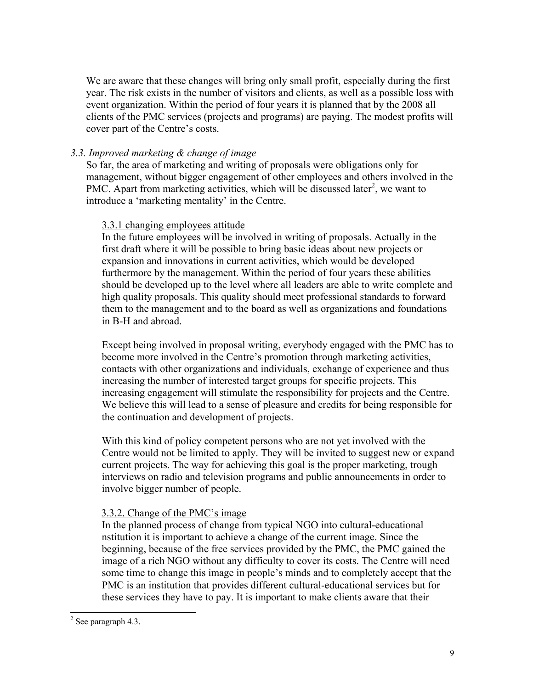<span id="page-9-0"></span>We are aware that these changes will bring only small profit, especially during the first year. The risk exists in the number of visitors and clients, as well as a possible loss with event organization. Within the period of four years it is planned that by the 2008 all clients of the PMC services (projects and programs) are paying. The modest profits will cover part of the Centre's costs.

## *3.3. Improved marketing & change of image*

So far, the area of marketing and writing of proposals were obligations only for management, without bigger engagement of other employees and others involved in the PMC. Apart from marketing activities, which will be discussed later<sup>[2](#page-9-1)</sup>, we want to introduce a 'marketing mentality' in the Centre.

#### 3.3.1 changing employees attitude

In the future employees will be involved in writing of proposals. Actually in the first draft where it will be possible to bring basic ideas about new projects or expansion and innovations in current activities, which would be developed furthermore by the management. Within the period of four years these abilities should be developed up to the level where all leaders are able to write complete and high quality proposals. This quality should meet professional standards to forward them to the management and to the board as well as organizations and foundations in B-H and abroad.

Except being involved in proposal writing, everybody engaged with the PMC has to become more involved in the Centre's promotion through marketing activities, contacts with other organizations and individuals, exchange of experience and thus increasing the number of interested target groups for specific projects. This increasing engagement will stimulate the responsibility for projects and the Centre. We believe this will lead to a sense of pleasure and credits for being responsible for the continuation and development of projects.

With this kind of policy competent persons who are not yet involved with the Centre would not be limited to apply. They will be invited to suggest new or expand current projects. The way for achieving this goal is the proper marketing, trough interviews on radio and television programs and public announcements in order to involve bigger number of people.

## 3.3.2. Change of the PMC's image

In the planned process of change from typical NGO into cultural-educational nstitution it is important to achieve a change of the current image. Since the beginning, because of the free services provided by the PMC, the PMC gained the image of a rich NGO without any difficulty to cover its costs. The Centre will need some time to change this image in people's minds and to completely accept that the PMC is an institution that provides different cultural-educational services but for these services they have to pay. It is important to make clients aware that their

<span id="page-9-1"></span> $\frac{1}{2}$  $2$  See paragraph 4.3.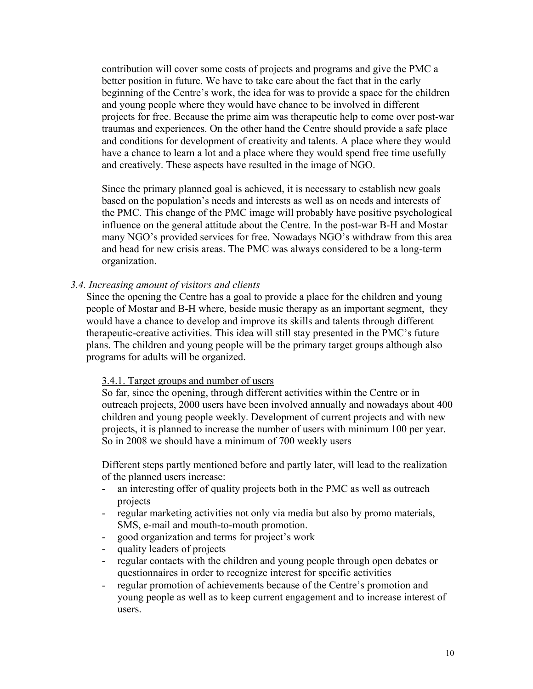<span id="page-10-0"></span>contribution will cover some costs of projects and programs and give the PMC a better position in future. We have to take care about the fact that in the early beginning of the Centre's work, the idea for was to provide a space for the children and young people where they would have chance to be involved in different projects for free. Because the prime aim was therapeutic help to come over post-war traumas and experiences. On the other hand the Centre should provide a safe place and conditions for development of creativity and talents. A place where they would have a chance to learn a lot and a place where they would spend free time usefully and creatively. These aspects have resulted in the image of NGO.

Since the primary planned goal is achieved, it is necessary to establish new goals based on the population's needs and interests as well as on needs and interests of the PMC. This change of the PMC image will probably have positive psychological influence on the general attitude about the Centre. In the post-war B-H and Mostar many NGO's provided services for free. Nowadays NGO's withdraw from this area and head for new crisis areas. The PMC was always considered to be a long-term organization.

#### *3.4. Increasing amount of visitors and clients*

Since the opening the Centre has a goal to provide a place for the children and young people of Mostar and B-H where, beside music therapy as an important segment, they would have a chance to develop and improve its skills and talents through different therapeutic-creative activities. This idea will still stay presented in the PMC's future plans. The children and young people will be the primary target groups although also programs for adults will be organized.

#### 3.4.1. Target groups and number of users

So far, since the opening, through different activities within the Centre or in outreach projects, 2000 users have been involved annually and nowadays about 400 children and young people weekly. Development of current projects and with new projects, it is planned to increase the number of users with minimum 100 per year. So in 2008 we should have a minimum of 700 weekly users

Different steps partly mentioned before and partly later, will lead to the realization of the planned users increase:

- an interesting offer of quality projects both in the PMC as well as outreach projects
- regular marketing activities not only via media but also by promo materials, SMS, e-mail and mouth-to-mouth promotion.
- good organization and terms for project's work
- quality leaders of projects
- regular contacts with the children and young people through open debates or questionnaires in order to recognize interest for specific activities
- regular promotion of achievements because of the Centre's promotion and young people as well as to keep current engagement and to increase interest of users.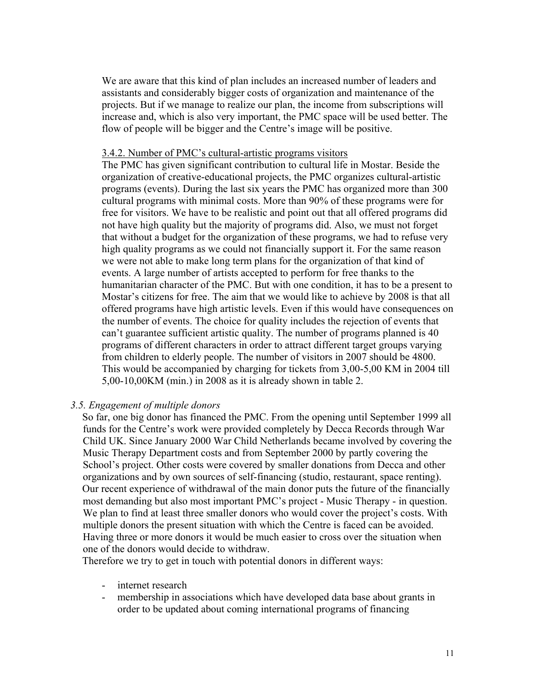<span id="page-11-0"></span>We are aware that this kind of plan includes an increased number of leaders and assistants and considerably bigger costs of organization and maintenance of the projects. But if we manage to realize our plan, the income from subscriptions will increase and, which is also very important, the PMC space will be used better. The flow of people will be bigger and the Centre's image will be positive.

#### 3.4.2. Number of PMC's cultural-artistic programs visitors

The PMC has given significant contribution to cultural life in Mostar. Beside the organization of creative-educational projects, the PMC organizes cultural-artistic programs (events). During the last six years the PMC has organized more than 300 cultural programs with minimal costs. More than 90% of these programs were for free for visitors. We have to be realistic and point out that all offered programs did not have high quality but the majority of programs did. Also, we must not forget that without a budget for the organization of these programs, we had to refuse very high quality programs as we could not financially support it. For the same reason we were not able to make long term plans for the organization of that kind of events. A large number of artists accepted to perform for free thanks to the humanitarian character of the PMC. But with one condition, it has to be a present to Mostar's citizens for free. The aim that we would like to achieve by 2008 is that all offered programs have high artistic levels. Even if this would have consequences on the number of events. The choice for quality includes the rejection of events that can't guarantee sufficient artistic quality. The number of programs planned is 40 programs of different characters in order to attract different target groups varying from children to elderly people. The number of visitors in 2007 should be 4800. This would be accompanied by charging for tickets from 3,00-5,00 KM in 2004 till 5,00-10,00KM (min.) in 2008 as it is already shown in table 2.

#### *3.5. Engagement of multiple donors*

So far, one big donor has financed the PMC. From the opening until September 1999 all funds for the Centre's work were provided completely by Decca Records through War Child UK. Since January 2000 War Child Netherlands became involved by covering the Music Therapy Department costs and from September 2000 by partly covering the School's project. Other costs were covered by smaller donations from Decca and other organizations and by own sources of self-financing (studio, restaurant, space renting). Our recent experience of withdrawal of the main donor puts the future of the financially most demanding but also most important PMC's project - Music Therapy - in question. We plan to find at least three smaller donors who would cover the project's costs. With multiple donors the present situation with which the Centre is faced can be avoided. Having three or more donors it would be much easier to cross over the situation when one of the donors would decide to withdraw.

Therefore we try to get in touch with potential donors in different ways:

- internet research
- membership in associations which have developed data base about grants in order to be updated about coming international programs of financing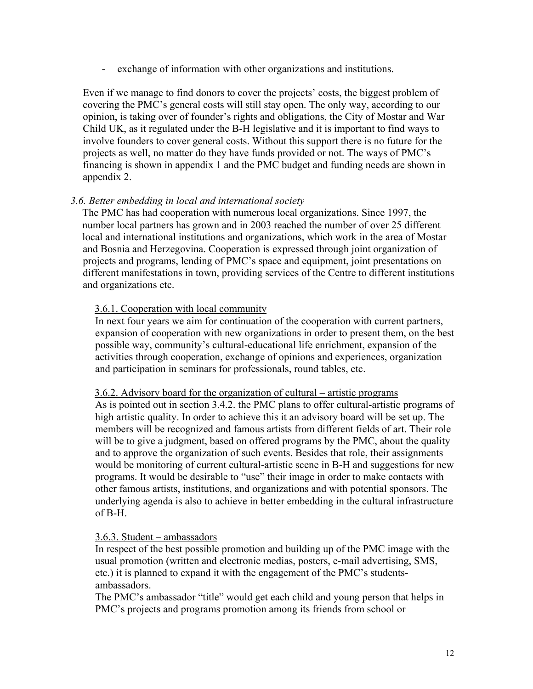<span id="page-12-0"></span>- exchange of information with other organizations and institutions.

Even if we manage to find donors to cover the projects' costs, the biggest problem of covering the PMC's general costs will still stay open. The only way, according to our opinion, is taking over of founder's rights and obligations, the City of Mostar and War Child UK, as it regulated under the B-H legislative and it is important to find ways to involve founders to cover general costs. Without this support there is no future for the projects as well, no matter do they have funds provided or not. The ways of PMC's financing is shown in appendix 1 and the PMC budget and funding needs are shown in appendix 2.

#### *3.6. Better embedding in local and international society*

The PMC has had cooperation with numerous local organizations. Since 1997, the number local partners has grown and in 2003 reached the number of over 25 different local and international institutions and organizations, which work in the area of Mostar and Bosnia and Herzegovina. Cooperation is expressed through joint organization of projects and programs, lending of PMC's space and equipment, joint presentations on different manifestations in town, providing services of the Centre to different institutions and organizations etc.

#### 3.6.1. Cooperation with local community

In next four years we aim for continuation of the cooperation with current partners, expansion of cooperation with new organizations in order to present them, on the best possible way, community's cultural-educational life enrichment, expansion of the activities through cooperation, exchange of opinions and experiences, organization and participation in seminars for professionals, round tables, etc.

#### 3.6.2. Advisory board for the organization of cultural – artistic programs

As is pointed out in section 3.4.2. the PMC plans to offer cultural-artistic programs of high artistic quality. In order to achieve this it an advisory board will be set up. The members will be recognized and famous artists from different fields of art. Their role will be to give a judgment, based on offered programs by the PMC, about the quality and to approve the organization of such events. Besides that role, their assignments would be monitoring of current cultural-artistic scene in B-H and suggestions for new programs. It would be desirable to "use" their image in order to make contacts with other famous artists, institutions, and organizations and with potential sponsors. The underlying agenda is also to achieve in better embedding in the cultural infrastructure of B-H.

## 3.6.3. Student – ambassadors

In respect of the best possible promotion and building up of the PMC image with the usual promotion (written and electronic medias, posters, e-mail advertising, SMS, etc.) it is planned to expand it with the engagement of the PMC's studentsambassadors.

The PMC's ambassador "title" would get each child and young person that helps in PMC's projects and programs promotion among its friends from school or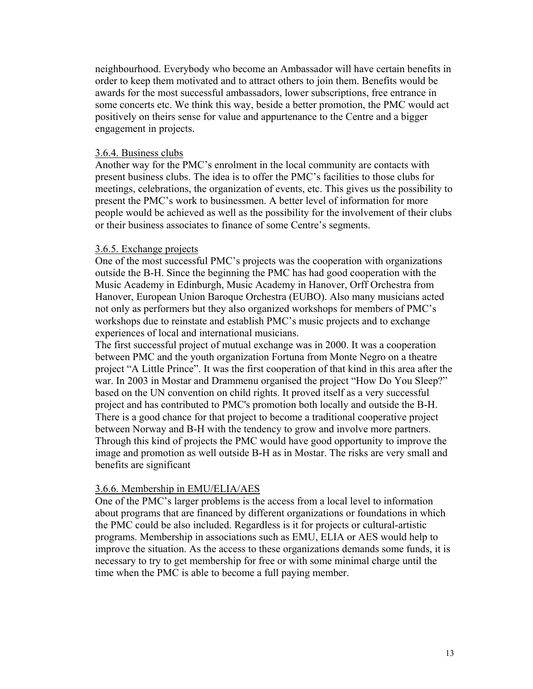neighbourhood. Everybody who become an Ambassador will have certain benefits in order to keep them motivated and to attract others to join them. Benefits would be awards for the most successful ambassadors, lower subscriptions, free entrance in some concerts etc. We think this way, beside a better promotion, the PMC would act positively on theirs sense for value and appurtenance to the Centre and a bigger engagement in projects.

#### 3.6.4. Business clubs

Another way for the PMC's enrolment in the local community are contacts with present business clubs. The idea is to offer the PMC's facilities to those clubs for meetings, celebrations, the organization of events, etc. This gives us the possibility to present the PMC's work to businessmen. A better level of information for more people would be achieved as well as the possibility for the involvement of their clubs or their business associates to finance of some Centre's segments.

#### 3.6.5. Exchange projects

One of the most successful PMC's projects was the cooperation with organizations outside the B-H. Since the beginning the PMC has had good cooperation with the Music Academy in Edinburgh, Music Academy in Hanover, Orff Orchestra from Hanover, European Union Baroque Orchestra (EUBO). Also many musicians acted not only as performers but they also organized workshops for members of PMC's workshops due to reinstate and establish PMC's music projects and to exchange experiences of local and international musicians.

The first successful project of mutual exchange was in 2000. It was a cooperation between PMC and the youth organization Fortuna from Monte Negro on a theatre project "A Little Prince". It was the first cooperation of that kind in this area after the war. In 2003 in Mostar and Drammenu organised the project "How Do You Sleep?" based on the UN convention on child rights. It proved itself as a very successful project and has contributed to PMC's promotion both locally and outside the B-H. There is a good chance for that project to become a traditional cooperative project between Norway and B-H with the tendency to grow and involve more partners. Through this kind of projects the PMC would have good opportunity to improve the image and promotion as well outside B-H as in Mostar. The risks are very small and benefits are significant

#### 3.6.6. Membership in EMU/ELIA/AES

One of the PMC's larger problems is the access from a local level to information about programs that are financed by different organizations or foundations in which the PMC could be also included. Regardless is it for projects or cultural-artistic programs. Membership in associations such as EMU, ELIA or AES would help to improve the situation. As the access to these organizations demands some funds, it is necessary to try to get membership for free or with some minimal charge until the time when the PMC is able to become a full paying member.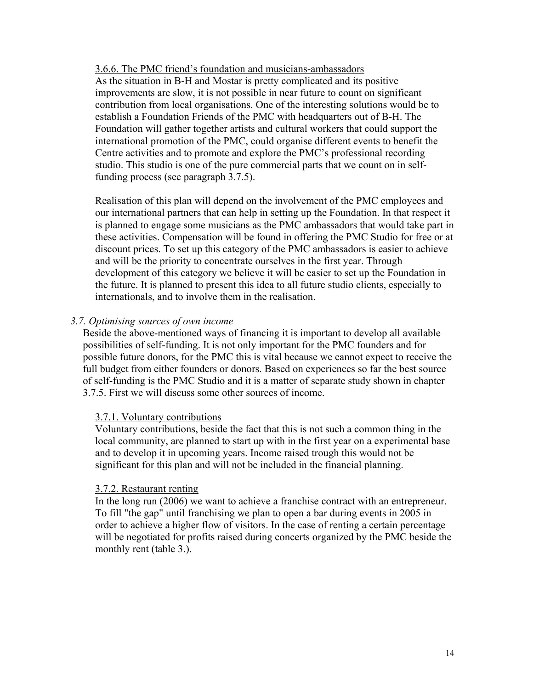#### <span id="page-14-0"></span>3.6.6. The PMC friend's foundation and musicians-ambassadors

As the situation in B-H and Mostar is pretty complicated and its positive improvements are slow, it is not possible in near future to count on significant contribution from local organisations. One of the interesting solutions would be to establish a Foundation Friends of the PMC with headquarters out of B-H. The Foundation will gather together artists and cultural workers that could support the international promotion of the PMC, could organise different events to benefit the Centre activities and to promote and explore the PMC's professional recording studio. This studio is one of the pure commercial parts that we count on in selffunding process (see paragraph 3.7.5).

Realisation of this plan will depend on the involvement of the PMC employees and our international partners that can help in setting up the Foundation. In that respect it is planned to engage some musicians as the PMC ambassadors that would take part in these activities. Compensation will be found in offering the PMC Studio for free or at discount prices. To set up this category of the PMC ambassadors is easier to achieve and will be the priority to concentrate ourselves in the first year. Through development of this category we believe it will be easier to set up the Foundation in the future. It is planned to present this idea to all future studio clients, especially to internationals, and to involve them in the realisation.

#### *3.7. Optimising sources of own income*

Beside the above-mentioned ways of financing it is important to develop all available possibilities of self-funding. It is not only important for the PMC founders and for possible future donors, for the PMC this is vital because we cannot expect to receive the full budget from either founders or donors. Based on experiences so far the best source of self-funding is the PMC Studio and it is a matter of separate study shown in chapter 3.7.5. First we will discuss some other sources of income.

#### 3.7.1. Voluntary contributions

Voluntary contributions, beside the fact that this is not such a common thing in the local community, are planned to start up with in the first year on a experimental base and to develop it in upcoming years. Income raised trough this would not be significant for this plan and will not be included in the financial planning.

#### 3.7.2. Restaurant renting

In the long run (2006) we want to achieve a franchise contract with an entrepreneur. To fill "the gap" until franchising we plan to open a bar during events in 2005 in order to achieve a higher flow of visitors. In the case of renting a certain percentage will be negotiated for profits raised during concerts organized by the PMC beside the monthly rent (table 3.).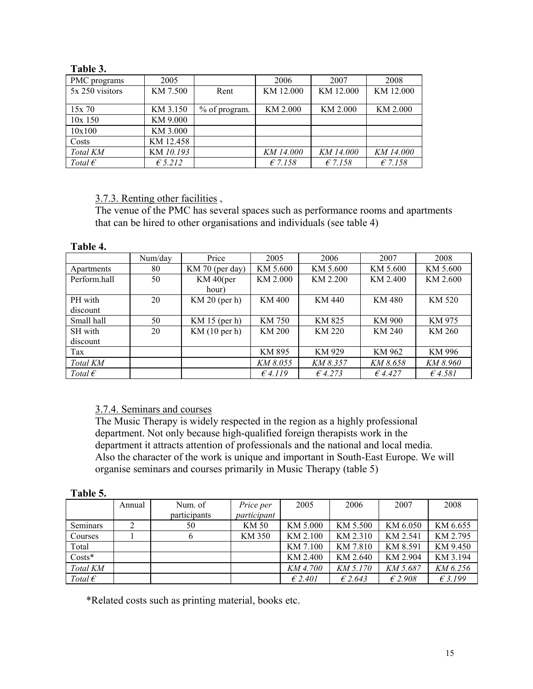| 1 avit J.        |                  |               |           |           |           |
|------------------|------------------|---------------|-----------|-----------|-----------|
| PMC programs     | 2005             |               | 2006      | 2007      | 2008      |
| 5x 250 visitors  | KM 7.500         | Rent          | KM 12.000 | KM 12.000 | KM 12.000 |
|                  |                  |               |           |           |           |
| 15x70            | KM 3.150         | % of program. | KM 2.000  | KM 2.000  | KM 2.000  |
| $10x$ 150        | KM 9.000         |               |           |           |           |
| 10x100           | KM 3.000         |               |           |           |           |
| Costs            | KM 12.458        |               |           |           |           |
| Total KM         | KM 10.193        |               | KM 14.000 | KM 14.000 | KM 14.000 |
| Total $\epsilon$ | $\epsilon$ 5.212 |               | $E$ 7.158 | $E$ 7.158 | $E$ 7.158 |

## **Table 3.**

#### 3.7.3. Renting other facilities ,

The venue of the PMC has several spaces such as performance rooms and apartments that can be hired to other organisations and individuals (see table 4)

#### **Table 4.**

|                  | Num/day | Price           | 2005             | 2006          | 2007     | 2008             |
|------------------|---------|-----------------|------------------|---------------|----------|------------------|
| Apartments       | 80      | KM 70 (per day) | KM 5.600         | KM 5.600      | KM 5.600 | KM 5.600         |
| Perform.hall     | 50      | $KM$ 40(per     | KM 2.000         | KM 2.200      | KM 2.400 | KM 2.600         |
|                  |         | hour)           |                  |               |          |                  |
| PH with          | 20      | $KM$ 20 (per h) | KM 400           | KM 440        | KM 480   | KM 520           |
| discount         |         |                 |                  |               |          |                  |
| Small hall       | 50      | KM $15$ (per h) | KM 750           | KM 825        | KM 900   | KM 975           |
| SH with          | 20      | KM(10 per h)    | KM 200           | <b>KM 220</b> | KM 240   | KM 260           |
| discount         |         |                 |                  |               |          |                  |
| Tax              |         |                 | KM 895           | KM 929        | KM 962   | KM 996           |
| Total KM         |         |                 | KM 8.055         | KM 8.357      | KM 8.658 | KM 8.960         |
| Total $\epsilon$ |         |                 | $\epsilon$ 4.119 | 64.273        | 64.427   | $\epsilon$ 4.581 |

## 3.7.4. Seminars and courses

The Music Therapy is widely respected in the region as a highly professional department. Not only because high-qualified foreign therapists work in the department it attracts attention of professionals and the national and local media. Also the character of the work is unique and important in South-East Europe. We will organise seminars and courses primarily in Music Therapy (table 5)

#### **Table 5.**

|                  | Annual | Num. of      | Price per   | 2005             | 2006     | 2007             | 2008     |
|------------------|--------|--------------|-------------|------------------|----------|------------------|----------|
|                  |        | participants | participant |                  |          |                  |          |
| Seminars         |        | 50           | KM 50       | KM 5.000         | KM 5.500 | KM 6.050         | KM 6.655 |
| Courses          |        | b            | KM 350      | KM 2.100         | KM 2.310 | KM 2.541         | KM 2.795 |
| Total            |        |              |             | KM 7.100         | KM 7.810 | KM 8.591         | KM 9.450 |
| $Costs*$         |        |              |             | KM 2.400         | KM 2.640 | KM 2.904         | KM 3.194 |
| Total KM         |        |              |             | KM 4.700         | KM 5.170 | KM 5.687         | KM 6.256 |
| Total $\epsilon$ |        |              |             | $\epsilon$ 2.401 | E2.643   | $\epsilon$ 2.908 | £3.199   |

\*Related costs such as printing material, books etc.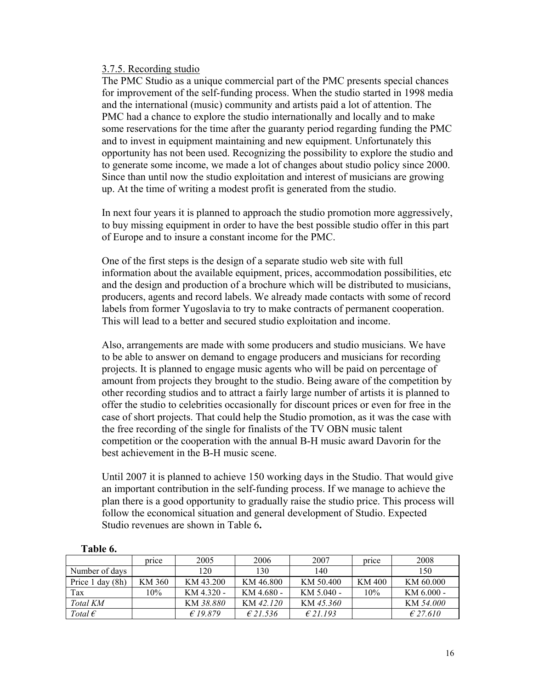#### 3.7.5. Recording studio

The PMC Studio as a unique commercial part of the PMC presents special chances for improvement of the self-funding process. When the studio started in 1998 media and the international (music) community and artists paid a lot of attention. The PMC had a chance to explore the studio internationally and locally and to make some reservations for the time after the guaranty period regarding funding the PMC and to invest in equipment maintaining and new equipment. Unfortunately this opportunity has not been used. Recognizing the possibility to explore the studio and to generate some income, we made a lot of changes about studio policy since 2000. Since than until now the studio exploitation and interest of musicians are growing up. At the time of writing a modest profit is generated from the studio.

In next four years it is planned to approach the studio promotion more aggressively, to buy missing equipment in order to have the best possible studio offer in this part of Europe and to insure a constant income for the PMC.

One of the first steps is the design of a separate studio web site with full information about the available equipment, prices, accommodation possibilities, etc and the design and production of a brochure which will be distributed to musicians, producers, agents and record labels. We already made contacts with some of record labels from former Yugoslavia to try to make contracts of permanent cooperation. This will lead to a better and secured studio exploitation and income.

Also, arrangements are made with some producers and studio musicians. We have to be able to answer on demand to engage producers and musicians for recording projects. It is planned to engage music agents who will be paid on percentage of amount from projects they brought to the studio. Being aware of the competition by other recording studios and to attract a fairly large number of artists it is planned to offer the studio to celebrities occasionally for discount prices or even for free in the case of short projects. That could help the Studio promotion, as it was the case with the free recording of the single for finalists of the TV OBN music talent competition or the cooperation with the annual B-H music award Davorin for the best achievement in the B-H music scene.

Until 2007 it is planned to achieve 150 working days in the Studio. That would give an important contribution in the self-funding process. If we manage to achieve the plan there is a good opportunity to gradually raise the studio price. This process will follow the economical situation and general development of Studio. Expected Studio revenues are shown in Table 6**.** 

|                      | price  | 2005       | 2006       | 2007         | price  | 2008         |
|----------------------|--------|------------|------------|--------------|--------|--------------|
| Number of days       |        | 120        | 130        | 140          |        | 150          |
| Price $1$ day $(8h)$ | KM 360 | KM 43.200  | KM 46.800  | KM 50.400    | KM 400 | KM 60.000    |
| Tax                  | 10%    | KM 4.320 - | KM 4.680 - | $KM$ 5.040 - | 10%    | $KM$ 6.000 - |
| Total KM             |        | KM 38.880  | KM 42.120  | KM 45.360    |        | KM 54.000    |
| Total $\epsilon$     |        | £19.879    | £21.536    | $E$ 21.193   |        | £27.610      |

#### **Table 6.**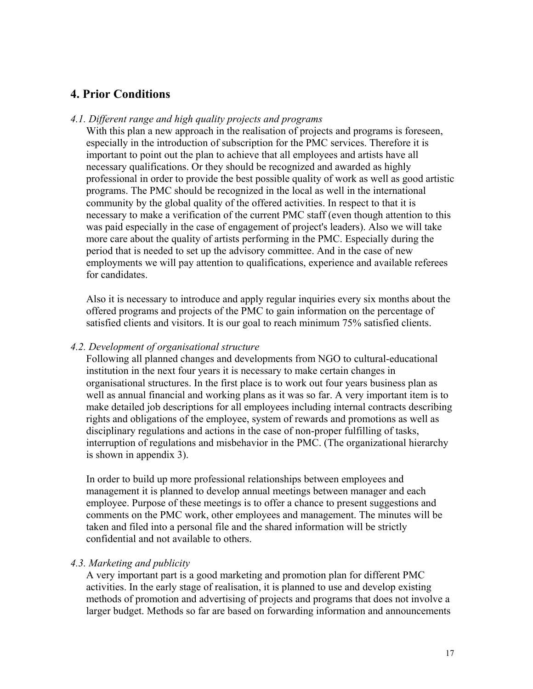## <span id="page-17-0"></span>**4. Prior Conditions**

#### *4.1. Different range and high quality projects and programs*

With this plan a new approach in the realisation of projects and programs is foreseen. especially in the introduction of subscription for the PMC services. Therefore it is important to point out the plan to achieve that all employees and artists have all necessary qualifications. Or they should be recognized and awarded as highly professional in order to provide the best possible quality of work as well as good artistic programs. The PMC should be recognized in the local as well in the international community by the global quality of the offered activities. In respect to that it is necessary to make a verification of the current PMC staff (even though attention to this was paid especially in the case of engagement of project's leaders). Also we will take more care about the quality of artists performing in the PMC. Especially during the period that is needed to set up the advisory committee. And in the case of new employments we will pay attention to qualifications, experience and available referees for candidates.

Also it is necessary to introduce and apply regular inquiries every six months about the offered programs and projects of the PMC to gain information on the percentage of satisfied clients and visitors. It is our goal to reach minimum 75% satisfied clients.

#### *4.2. Development of organisational structure*

Following all planned changes and developments from NGO to cultural-educational institution in the next four years it is necessary to make certain changes in organisational structures. In the first place is to work out four years business plan as well as annual financial and working plans as it was so far. A very important item is to make detailed job descriptions for all employees including internal contracts describing rights and obligations of the employee, system of rewards and promotions as well as disciplinary regulations and actions in the case of non-proper fulfilling of tasks, interruption of regulations and misbehavior in the PMC. (The organizational hierarchy is shown in appendix 3).

In order to build up more professional relationships between employees and management it is planned to develop annual meetings between manager and each employee. Purpose of these meetings is to offer a chance to present suggestions and comments on the PMC work, other employees and management. The minutes will be taken and filed into a personal file and the shared information will be strictly confidential and not available to others.

#### *4.3. Marketing and publicity*

A very important part is a good marketing and promotion plan for different PMC activities. In the early stage of realisation, it is planned to use and develop existing methods of promotion and advertising of projects and programs that does not involve a larger budget. Methods so far are based on forwarding information and announcements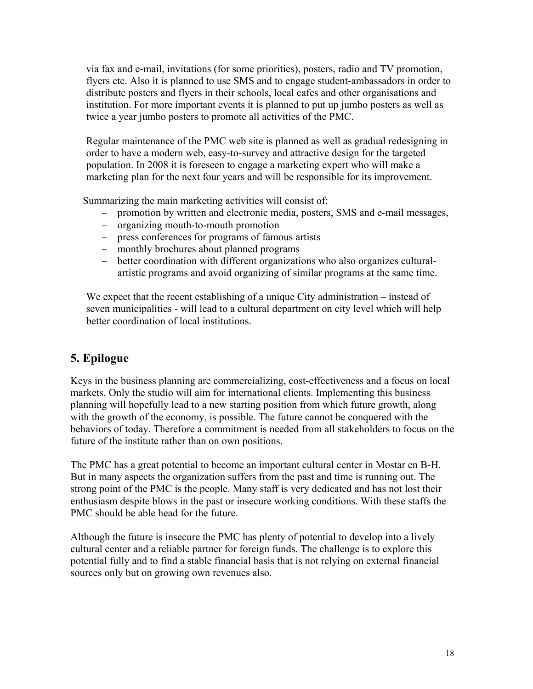<span id="page-18-0"></span>via fax and e-mail, invitations (for some priorities), posters, radio and TV promotion, flyers etc. Also it is planned to use SMS and to engage student-ambassadors in order to distribute posters and flyers in their schools, local cafes and other organisations and institution. For more important events it is planned to put up jumbo posters as well as twice a year jumbo posters to promote all activities of the PMC.

Regular maintenance of the PMC web site is planned as well as gradual redesigning in order to have a modern web, easy-to-survey and attractive design for the targeted population. In 2008 it is foreseen to engage a marketing expert who will make a marketing plan for the next four years and will be responsible for its improvement.

Summarizing the main marketing activities will consist of:

- promotion by written and electronic media, posters, SMS and e-mail messages,
- − organizing mouth-to-mouth promotion
- − press conferences for programs of famous artists
- − monthly brochures about planned programs
- − better coordination with different organizations who also organizes culturalartistic programs and avoid organizing of similar programs at the same time.

We expect that the recent establishing of a unique City administration – instead of seven municipalities - will lead to a cultural department on city level which will help better coordination of local institutions.

## **5. Epilogue**

Keys in the business planning are commercializing, cost-effectiveness and a focus on local markets. Only the studio will aim for international clients. Implementing this business planning will hopefully lead to a new starting position from which future growth, along with the growth of the economy, is possible. The future cannot be conquered with the behaviors of today. Therefore a commitment is needed from all stakeholders to focus on the future of the institute rather than on own positions.

The PMC has a great potential to become an important cultural center in Mostar en B-H. But in many aspects the organization suffers from the past and time is running out. The strong point of the PMC is the people. Many staff is very dedicated and has not lost their enthusiasm despite blows in the past or insecure working conditions. With these staffs the PMC should be able head for the future.

Although the future is insecure the PMC has plenty of potential to develop into a lively cultural center and a reliable partner for foreign funds. The challenge is to explore this potential fully and to find a stable financial basis that is not relying on external financial sources only but on growing own revenues also.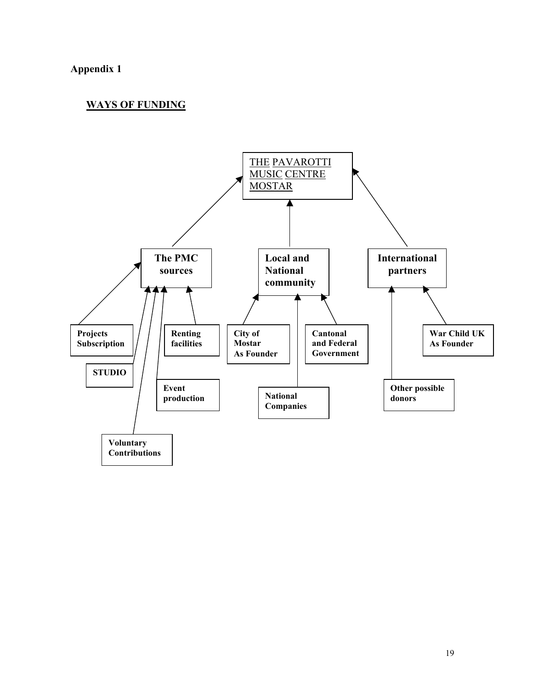## <span id="page-19-0"></span>**Appendix 1**

## **WAYS OF FUNDING**

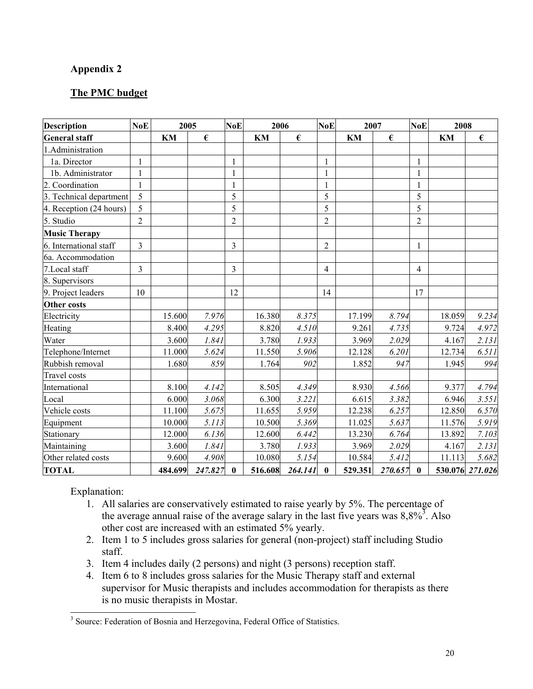## <span id="page-20-0"></span>**Appendix 2**

## **The PMC budget**

| <b>Description</b>      | NoE            | 2005    |            | <b>NoE</b>     | 2006    |                  | <b>NoE</b>     | 2007    |             | <b>NoE</b>     | 2008   |                  |
|-------------------------|----------------|---------|------------|----------------|---------|------------------|----------------|---------|-------------|----------------|--------|------------------|
| <b>General staff</b>    |                | KM      | $\epsilon$ |                | KM      | $\pmb{\epsilon}$ |                | KM      | €           |                | KM     | $\pmb{\epsilon}$ |
| 1.Administration        |                |         |            |                |         |                  |                |         |             |                |        |                  |
| 1a. Director            | $\mathbf{1}$   |         |            | $\mathbf{1}$   |         |                  | $\mathbf{1}$   |         |             | $\mathbf{1}$   |        |                  |
| 1b. Administrator       | $\mathbf{1}$   |         |            | $\mathbf{1}$   |         |                  | $\mathbf{1}$   |         |             | $\mathbf{1}$   |        |                  |
| 2. Coordination         | $\mathbf{1}$   |         |            | $\mathbf{1}$   |         |                  | $\mathbf{1}$   |         |             | 1              |        |                  |
| 3. Technical department | 5              |         |            | 5              |         |                  | 5              |         |             | 5              |        |                  |
| 4. Reception (24 hours) | 5              |         |            | 5              |         |                  | 5              |         |             | 5              |        |                  |
| 5. Studio               | $\overline{2}$ |         |            | $\overline{2}$ |         |                  | $\overline{2}$ |         |             | $\overline{2}$ |        |                  |
| <b>Music Therapy</b>    |                |         |            |                |         |                  |                |         |             |                |        |                  |
| 6. International staff  | 3              |         |            | 3              |         |                  | $\overline{2}$ |         |             | $\mathbf{1}$   |        |                  |
| 6a. Accommodation       |                |         |            |                |         |                  |                |         |             |                |        |                  |
| 7.Local staff           | $\overline{3}$ |         |            | 3              |         |                  | $\overline{4}$ |         |             | $\overline{4}$ |        |                  |
| 8. Supervisors          |                |         |            |                |         |                  |                |         |             |                |        |                  |
| 9. Project leaders      | 10             |         |            | 12             |         |                  | 14             |         |             | 17             |        |                  |
| <b>Other costs</b>      |                |         |            |                |         |                  |                |         |             |                |        |                  |
| Electricity             |                | 15.600  | 7.976      |                | 16.380  | 8.375            |                | 17.199  | 8.794       |                | 18.059 | 9.234            |
| Heating                 |                | 8.400   | 4.295      |                | 8.820   | 4.510            |                | 9.261   | 4.735       |                | 9.724  | 4.972            |
| Water                   |                | 3.600   | 1.841      |                | 3.780   | 1.933            |                | 3.969   | 2.029       |                | 4.167  | 2.131            |
| Telephone/Internet      |                | 11.000  | 5.624      |                | 11.550  | 5.906            |                | 12.128  | 6.201       |                | 12.734 | 6.511            |
| Rubbish removal         |                | 1.680   | 859        |                | 1.764   | 902              |                | 1.852   | 947         |                | 1.945  | 994              |
| <b>Travel</b> costs     |                |         |            |                |         |                  |                |         |             |                |        |                  |
| International           |                | 8.100   | 4.142      |                | 8.505   | 4.349            |                | 8.930   | 4.566       |                | 9.377  | 4.794            |
| Local                   |                | 6.000   | 3.068      |                | 6.300   | 3.221            |                | 6.615   | 3.382       |                | 6.946  | 3.551            |
| Vehicle costs           |                | 11.100  | 5.675      |                | 11.655  | 5.959            |                | 12.238  | 6.257       |                | 12.850 | 6.570            |
| Equipment               |                | 10.000  | 5.113      |                | 10.500  | 5.369            |                | 11.025  | 5.637       |                | 11.576 | 5.919            |
| Stationary              |                | 12.000  | 6.136      |                | 12.600  | 6.442            |                | 13.230  | 6.764       |                | 13.892 | 7.103            |
| Maintaining             |                | 3.600   | 1.841      |                | 3.780   | 1.933            |                | 3.969   | 2.029       |                | 4.167  | 2.131            |
| Other related costs     |                | 9.600   | 4.908      |                | 10.080  | 5.154            |                | 10.584  | 5.412       |                | 11.113 | 5.682            |
| <b>TOTAL</b>            |                | 484.699 | 247.827    | $\mathbf{0}$   | 516.608 | 264.141          | $\mathbf{0}$   | 529.351 | $270.657$ 0 |                |        | 530.076 271.026  |

Explanation:

- 1. All salaries are conservatively estimated to raise yearly by 5%. The percentage of the average annual raise of the average salary in the last five years was  $8,8\%$ <sup>[3](#page-20-1)</sup>. Also other cost are increased with an estimated 5% yearly.
- 2. Item 1 to 5 includes gross salaries for general (non-project) staff including Studio staff.
- 3. Item 4 includes daily (2 persons) and night (3 persons) reception staff.
- 4. Item 6 to 8 includes gross salaries for the Music Therapy staff and external supervisor for Music therapists and includes accommodation for therapists as there is no music therapists in Mostar.

<span id="page-20-1"></span> <sup>3</sup> <sup>3</sup> Source: Federation of Bosnia and Herzegovina, Federal Office of Statistics.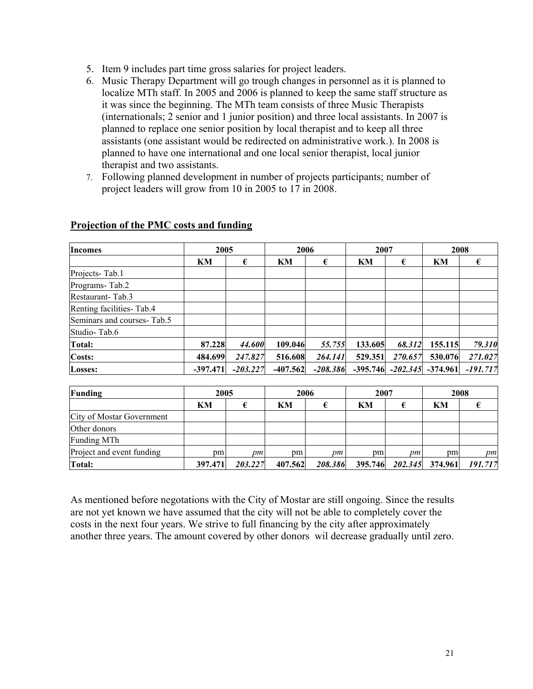- 5. Item 9 includes part time gross salaries for project leaders.
- 6. Music Therapy Department will go trough changes in personnel as it is planned to localize MTh staff. In 2005 and 2006 is planned to keep the same staff structure as it was since the beginning. The MTh team consists of three Music Therapists (internationals; 2 senior and 1 junior position) and three local assistants. In 2007 is planned to replace one senior position by local therapist and to keep all three assistants (one assistant would be redirected on administrative work.). In 2008 is planned to have one international and one local senior therapist, local junior therapist and two assistants.
- 7. Following planned development in number of projects participants; number of project leaders will grow from 10 in 2005 to 17 in 2008.

| <b>Incomes</b>             |            | 2005       |            | 2006       | 2007       |         | 2008                  |            |
|----------------------------|------------|------------|------------|------------|------------|---------|-----------------------|------------|
|                            | KM         | €          | KM         | €          | KM         | €       | KM                    | €          |
| Projects-Tab.1             |            |            |            |            |            |         |                       |            |
| Programs-Tab.2             |            |            |            |            |            |         |                       |            |
| Restaurant-Tab.3           |            |            |            |            |            |         |                       |            |
| Renting facilities-Tab.4   |            |            |            |            |            |         |                       |            |
| Seminars and courses-Tab.5 |            |            |            |            |            |         |                       |            |
| Studio-Tab.6               |            |            |            |            |            |         |                       |            |
| Total:                     | 87.228     | 44.600     | 109.046    | 55.755     | 133.605    | 68.312  | 155.115               | 79.310     |
| Costs:                     | 484.699    | 247.827    | 516.608    | 264.141    | 529.351    | 270.657 | 530.076               | 271.027    |
| Losses:                    | $-397.471$ | $-203.227$ | $-407.562$ | $-208.386$ | $-395.746$ |         | $-202.345$ $-374.961$ | $-191.717$ |

## **Projection of the PMC costs and funding**

| Funding                   | 2005            |         | 2006    |         | 2007 |    |                         | 2008    |  |
|---------------------------|-----------------|---------|---------|---------|------|----|-------------------------|---------|--|
|                           | KM              |         | KM      |         | KM   |    | KM                      |         |  |
| City of Mostar Government |                 |         |         |         |      |    |                         |         |  |
| Other donors              |                 |         |         |         |      |    |                         |         |  |
| <b>Funding MTh</b>        |                 |         |         |         |      |    |                         |         |  |
| Project and event funding | pm <sub>1</sub> | pm      | pm      | pm      | pm   | pт | <sub>pm</sub>           | pm      |  |
| Total:                    | 397.471         | 203.227 | 407.562 | 208.386 |      |    | 395.746 202.345 374.961 | 191.717 |  |

As mentioned before negotations with the City of Mostar are still ongoing. Since the results are not yet known we have assumed that the city will not be able to completely cover the costs in the next four years. We strive to full financing by the city after approximately another three years. The amount covered by other donors wil decrease gradually until zero.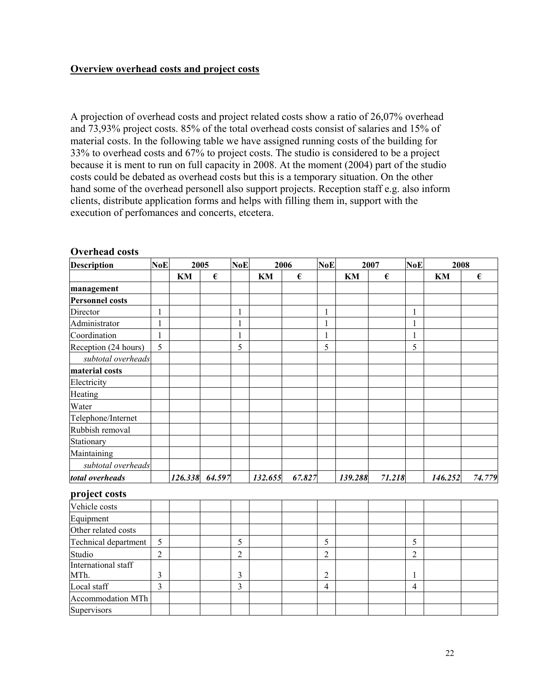## **Overview overhead costs and project costs**

A projection of overhead costs and project related costs show a ratio of 26,07% overhead and 73,93% project costs. 85% of the total overhead costs consist of salaries and 15% of material costs. In the following table we have assigned running costs of the building for 33% to overhead costs and 67% to project costs. The studio is considered to be a project because it is ment to run on full capacity in 2008. At the moment (2004) part of the studio costs could be debated as overhead costs but this is a temporary situation. On the other hand some of the overhead personell also support projects. Reception staff e.g. also inform clients, distribute application forms and helps with filling them in, support with the execution of perfomances and concerts, etcetera.

| <b>Description</b>     | <b>NoE</b>     | 2005 |                  | <b>NoE</b>     | 2006    |                  | <b>NoE</b>     | 2007    |            | <b>NoE</b>               | 2008    |        |
|------------------------|----------------|------|------------------|----------------|---------|------------------|----------------|---------|------------|--------------------------|---------|--------|
|                        |                | KM   | $\pmb{\epsilon}$ |                | KM      | $\pmb{\epsilon}$ |                | KM      | $\epsilon$ |                          | KM      | €      |
| management             |                |      |                  |                |         |                  |                |         |            |                          |         |        |
| <b>Personnel costs</b> |                |      |                  |                |         |                  |                |         |            |                          |         |        |
| Director               | $\mathbf{1}$   |      |                  | $\mathbf{1}$   |         |                  | $\mathbf{1}$   |         |            | $\mathbf{1}$             |         |        |
| Administrator          | $\mathbf{1}$   |      |                  | 1              |         |                  | 1              |         |            | $\mathbf{1}$             |         |        |
| Coordination           | $\mathbf{1}$   |      |                  | $\mathbf{1}$   |         |                  | $\mathbf{1}$   |         |            | $\mathbf{1}$             |         |        |
| Reception (24 hours)   | 5              |      |                  | 5              |         |                  | 5              |         |            | 5                        |         |        |
| subtotal overheads     |                |      |                  |                |         |                  |                |         |            |                          |         |        |
| material costs         |                |      |                  |                |         |                  |                |         |            |                          |         |        |
| Electricity            |                |      |                  |                |         |                  |                |         |            |                          |         |        |
| Heating                |                |      |                  |                |         |                  |                |         |            |                          |         |        |
| Water                  |                |      |                  |                |         |                  |                |         |            |                          |         |        |
| Telephone/Internet     |                |      |                  |                |         |                  |                |         |            |                          |         |        |
| Rubbish removal        |                |      |                  |                |         |                  |                |         |            |                          |         |        |
| Stationary             |                |      |                  |                |         |                  |                |         |            |                          |         |        |
| Maintaining            |                |      |                  |                |         |                  |                |         |            |                          |         |        |
| subtotal overheads     |                |      |                  |                |         |                  |                |         |            |                          |         |        |
| total overheads        |                |      | 126.338 64.597   |                | 132.655 | 67.827           |                | 139.288 | 71.218     |                          | 146.252 | 74.779 |
| project costs          |                |      |                  |                |         |                  |                |         |            |                          |         |        |
| Vehicle costs          |                |      |                  |                |         |                  |                |         |            |                          |         |        |
| Equipment              |                |      |                  |                |         |                  |                |         |            |                          |         |        |
| Other related costs    |                |      |                  |                |         |                  |                |         |            |                          |         |        |
| Technical department   | 5              |      |                  | 5              |         |                  | 5              |         |            | 5                        |         |        |
| Studio                 | $\overline{2}$ |      |                  | $\overline{2}$ |         |                  | $\overline{2}$ |         |            | $\overline{2}$           |         |        |
| International staff    |                |      |                  |                |         |                  |                |         |            |                          |         |        |
| MTh.                   | 3              |      |                  | 3              |         |                  | $\overline{c}$ |         |            | $\mathbf{1}$             |         |        |
| Local staff            | $\overline{3}$ |      |                  | 3              |         |                  | $\overline{4}$ |         |            | $\overline{\mathcal{A}}$ |         |        |
| Accommodation MTh      |                |      |                  |                |         |                  |                |         |            |                          |         |        |
| Supervisors            |                |      |                  |                |         |                  |                |         |            |                          |         |        |

#### **Overhead costs**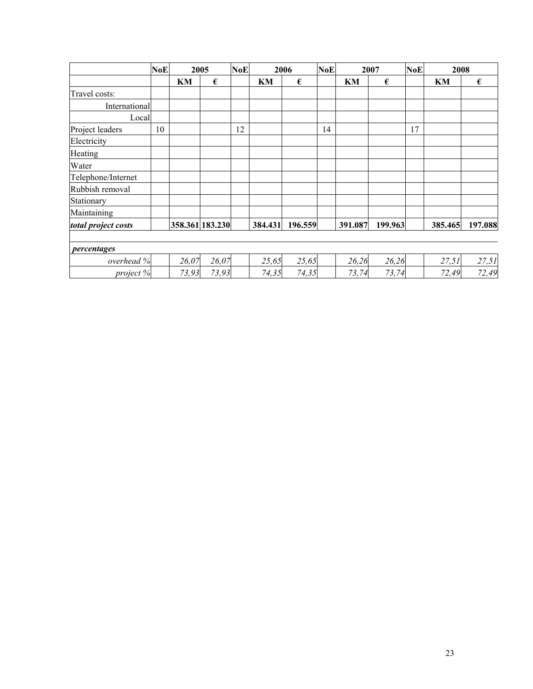|                     | <b>NoE</b> | 2005  |                 | <b>NoE</b> | 2006    |         | <b>NoE</b> | 2007    |         | <b>NoE</b> | 2008    |         |
|---------------------|------------|-------|-----------------|------------|---------|---------|------------|---------|---------|------------|---------|---------|
|                     |            | KМ    | €               |            | KM      | €       |            | KM      | €       |            | KM      | €       |
| Travel costs:       |            |       |                 |            |         |         |            |         |         |            |         |         |
| International       |            |       |                 |            |         |         |            |         |         |            |         |         |
| Local               |            |       |                 |            |         |         |            |         |         |            |         |         |
| Project leaders     | 10         |       |                 | 12         |         |         | 14         |         |         | 17         |         |         |
| Electricity         |            |       |                 |            |         |         |            |         |         |            |         |         |
| Heating             |            |       |                 |            |         |         |            |         |         |            |         |         |
| Water               |            |       |                 |            |         |         |            |         |         |            |         |         |
| Telephone/Internet  |            |       |                 |            |         |         |            |         |         |            |         |         |
| Rubbish removal     |            |       |                 |            |         |         |            |         |         |            |         |         |
| Stationary          |            |       |                 |            |         |         |            |         |         |            |         |         |
| Maintaining         |            |       |                 |            |         |         |            |         |         |            |         |         |
| total project costs |            |       | 358.361 183.230 |            | 384.431 | 196.559 |            | 391.087 | 199.963 |            | 385.465 | 197.088 |
| percentages         |            |       |                 |            |         |         |            |         |         |            |         |         |
| overhead %          |            | 26,07 | 26,07           |            | 25,65   | 25,65   |            | 26,26   | 26,26   |            | 27,51   | 27,51   |
| project %           |            | 73,93 | 73,93           |            | 74,35   | 74,35   |            | 73,74   | 73,74   |            | 72,49   | 72,49   |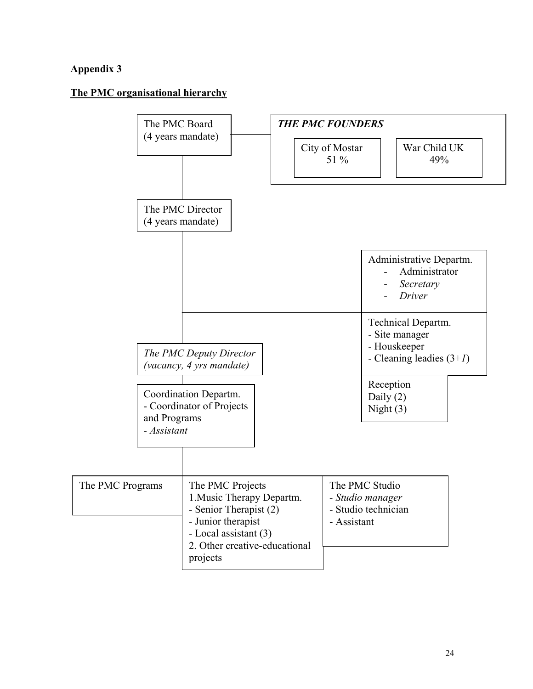## <span id="page-24-0"></span>**Appendix 3**

## **The PMC organisational hierarchy**

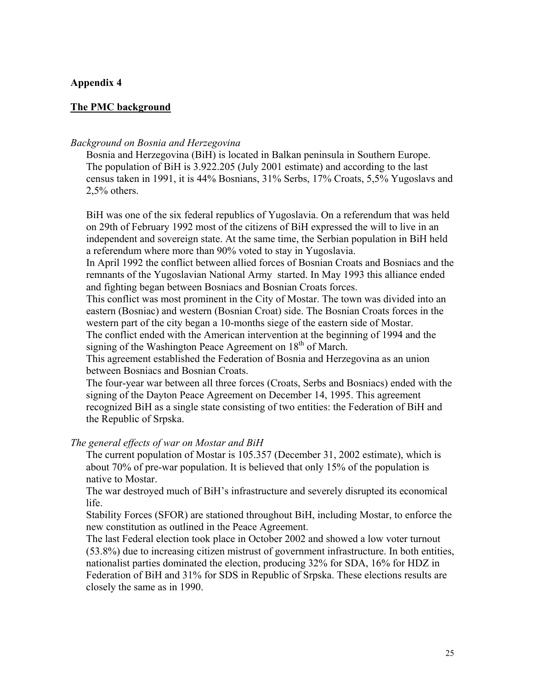#### <span id="page-25-0"></span>**Appendix 4**

#### **The PMC background**

#### *Background on Bosnia and Herzegovina*

Bosnia and Herzegovina (BiH) is located in Balkan peninsula in Southern Europe. The population of BiH is 3.922.205 (July 2001 estimate) and according to the last census taken in 1991, it is 44% Bosnians, 31% Serbs, 17% Croats, 5,5% Yugoslavs and 2,5% others.

BiH was one of the six federal republics of Yugoslavia. On a referendum that was held on 29th of February 1992 most of the citizens of BiH expressed the will to live in an independent and sovereign state. At the same time, the Serbian population in BiH held a referendum where more than 90% voted to stay in Yugoslavia.

In April 1992 the conflict between allied forces of Bosnian Croats and Bosniacs and the remnants of the Yugoslavian National Army started. In May 1993 this alliance ended and fighting began between Bosniacs and Bosnian Croats forces.

This conflict was most prominent in the City of Mostar. The town was divided into an eastern (Bosniac) and western (Bosnian Croat) side. The Bosnian Croats forces in the western part of the city began a 10-months siege of the eastern side of Mostar.

The conflict ended with the American intervention at the beginning of 1994 and the signing of the Washington Peace Agreement on  $18<sup>th</sup>$  of March.

This agreement established the Federation of Bosnia and Herzegovina as an union between Bosniacs and Bosnian Croats.

The four-year war between all three forces (Croats, Serbs and Bosniacs) ended with the signing of the Dayton Peace Agreement on December 14, 1995. This agreement recognized BiH as a single state consisting of two entities: the Federation of BiH and the Republic of Srpska.

*The general effects of war on Mostar and BiH* 

The current population of Mostar is 105.357 (December 31, 2002 estimate), which is about 70% of pre-war population. It is believed that only 15% of the population is native to Mostar.

The war destroyed much of BiH's infrastructure and severely disrupted its economical life.

Stability Forces (SFOR) are stationed throughout BiH, including Mostar, to enforce the new constitution as outlined in the Peace Agreement.

The last Federal election took place in October 2002 and showed a low voter turnout (53.8%) due to increasing citizen mistrust of government infrastructure. In both entities, nationalist parties dominated the election, producing 32% for SDA, 16% for HDZ in Federation of BiH and 31% for SDS in Republic of Srpska. These elections results are closely the same as in 1990.